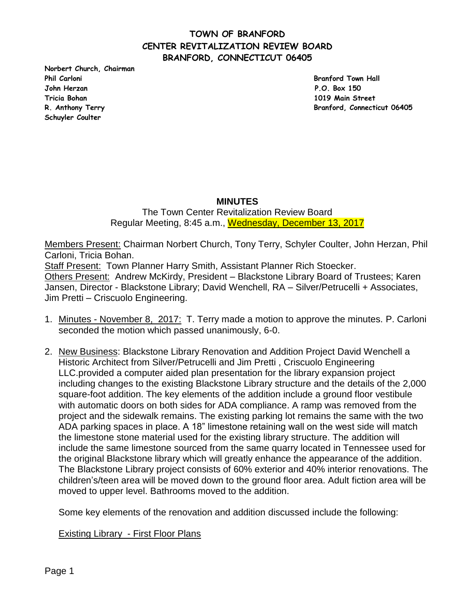**Norbert Church, Chairman Phil Carloni Branford Town Hall John Herzan P.O. Box 150 Tricia Bohan 1019 Main Street Schuyler Coulter** 

**R. Anthony Terry Branford, Connecticut 06405**

### **MINUTES**

The Town Center Revitalization Review Board Regular Meeting, 8:45 a.m., Wednesday, December 13, 2017

Members Present: Chairman Norbert Church, Tony Terry, Schyler Coulter, John Herzan, Phil Carloni, Tricia Bohan. Staff Present: Town Planner Harry Smith, Assistant Planner Rich Stoecker. Others Present: Andrew McKirdy, President – Blackstone Library Board of Trustees; Karen Jansen, Director - Blackstone Library; David Wenchell, RA – Silver/Petrucelli + Associates, Jim Pretti – Criscuolo Engineering.

- 1. Minutes November 8, 2017: T. Terry made a motion to approve the minutes. P. Carloni seconded the motion which passed unanimously, 6-0.
- 2. New Business: Blackstone Library Renovation and Addition Project David Wenchell a Historic Architect from Silver/Petrucelli and Jim Pretti , Criscuolo Engineering LLC.provided a computer aided plan presentation for the library expansion project including changes to the existing Blackstone Library structure and the details of the 2,000 square-foot addition. The key elements of the addition include a ground floor vestibule with automatic doors on both sides for ADA compliance. A ramp was removed from the project and the sidewalk remains. The existing parking lot remains the same with the two ADA parking spaces in place. A 18" limestone retaining wall on the west side will match the limestone stone material used for the existing library structure. The addition will include the same limestone sourced from the same quarry located in Tennessee used for the original Blackstone library which will greatly enhance the appearance of the addition. The Blackstone Library project consists of 60% exterior and 40% interior renovations. The children's/teen area will be moved down to the ground floor area. Adult fiction area will be moved to upper level. Bathrooms moved to the addition.

Some key elements of the renovation and addition discussed include the following:

#### Existing Library - First Floor Plans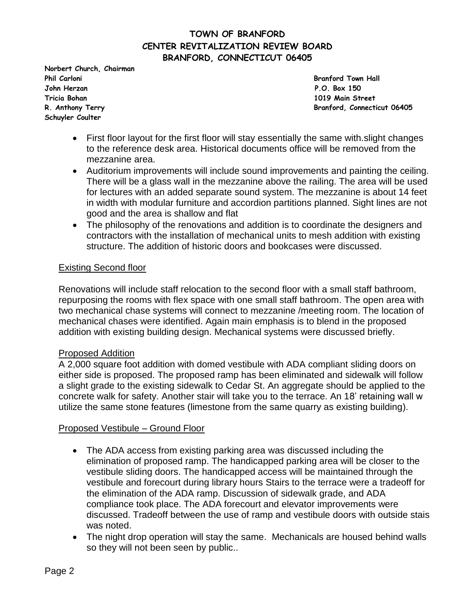**Norbert Church, Chairman Phil Carloni Branford Town Hall John Herzan P.O. Box 150 Tricia Bohan 1019 Main Street Schuyler Coulter** 

**R. Anthony Terry Branford, Connecticut 06405**

- First floor layout for the first floor will stay essentially the same with.slight changes to the reference desk area. Historical documents office will be removed from the mezzanine area.
- Auditorium improvements will include sound improvements and painting the ceiling. There will be a glass wall in the mezzanine above the railing. The area will be used for lectures with an added separate sound system. The mezzanine is about 14 feet in width with modular furniture and accordion partitions planned. Sight lines are not good and the area is shallow and flat
- The philosophy of the renovations and addition is to coordinate the designers and contractors with the installation of mechanical units to mesh addition with existing structure. The addition of historic doors and bookcases were discussed.

### Existing Second floor

Renovations will include staff relocation to the second floor with a small staff bathroom, repurposing the rooms with flex space with one small staff bathroom. The open area with two mechanical chase systems will connect to mezzanine /meeting room. The location of mechanical chases were identified. Again main emphasis is to blend in the proposed addition with existing building design. Mechanical systems were discussed briefly.

#### Proposed Addition

A 2,000 square foot addition with domed vestibule with ADA compliant sliding doors on either side is proposed. The proposed ramp has been eliminated and sidewalk will follow a slight grade to the existing sidewalk to Cedar St. An aggregate should be applied to the concrete walk for safety. Another stair will take you to the terrace. An 18' retaining wall w utilize the same stone features (limestone from the same quarry as existing building).

#### Proposed Vestibule – Ground Floor

- The ADA access from existing parking area was discussed including the elimination of proposed ramp. The handicapped parking area will be closer to the vestibule sliding doors. The handicapped access will be maintained through the vestibule and forecourt during library hours Stairs to the terrace were a tradeoff for the elimination of the ADA ramp. Discussion of sidewalk grade, and ADA compliance took place. The ADA forecourt and elevator improvements were discussed. Tradeoff between the use of ramp and vestibule doors with outside stais was noted.
- The night drop operation will stay the same. Mechanicals are housed behind walls so they will not been seen by public..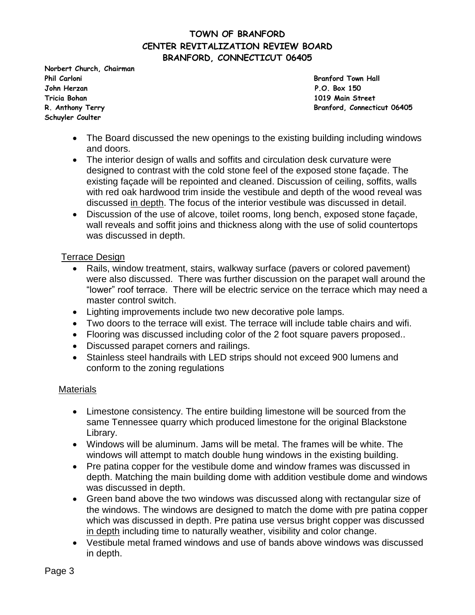**Norbert Church, Chairman Phil Carloni Branford Town Hall John Herzan P.O. Box 150 Tricia Bohan 1019 Main Street Schuyler Coulter** 

**R. Anthony Terry Branford, Connecticut 06405**

- The Board discussed the new openings to the existing building including windows and doors.
- The interior design of walls and soffits and circulation desk curvature were designed to contrast with the cold stone feel of the exposed stone façade. The existing façade will be repointed and cleaned. Discussion of ceiling, soffits, walls with red oak hardwood trim inside the vestibule and depth of the wood reveal was discussed in depth. The focus of the interior vestibule was discussed in detail.
- Discussion of the use of alcove, toilet rooms, long bench, exposed stone façade, wall reveals and soffit joins and thickness along with the use of solid countertops was discussed in depth.

#### Terrace Design

- Rails, window treatment, stairs, walkway surface (pavers or colored pavement) were also discussed. There was further discussion on the parapet wall around the "lower" roof terrace. There will be electric service on the terrace which may need a master control switch.
- Lighting improvements include two new decorative pole lamps.
- Two doors to the terrace will exist. The terrace will include table chairs and wifi.
- Flooring was discussed including color of the 2 foot square pavers proposed..
- Discussed parapet corners and railings.
- Stainless steel handrails with LED strips should not exceed 900 lumens and conform to the zoning regulations

#### **Materials**

- Limestone consistency. The entire building limestone will be sourced from the same Tennessee quarry which produced limestone for the original Blackstone Library.
- Windows will be aluminum. Jams will be metal. The frames will be white. The windows will attempt to match double hung windows in the existing building.
- Pre patina copper for the vestibule dome and window frames was discussed in depth. Matching the main building dome with addition vestibule dome and windows was discussed in depth.
- Green band above the two windows was discussed along with rectangular size of the windows. The windows are designed to match the dome with pre patina copper which was discussed in depth. Pre patina use versus bright copper was discussed in depth including time to naturally weather, visibility and color change.
- Vestibule metal framed windows and use of bands above windows was discussed in depth.